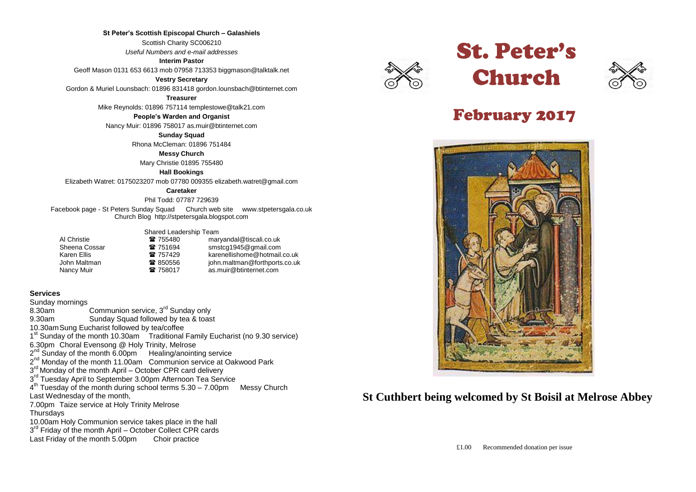### **St Peter's Scottish Episcopal Church – Galashiels**

Scottish Charity SC006210

*Useful Numbers and e-mail addresses*

### **Interim Pastor**

Geoff Mason 0131 653 6613 mob 07958 713353 biggmason@talktalk.net

### **Vestry Secretary**

Gordon & Muriel Lounsbach: 01896 831418 gordon.lounsbach@btinternet.com

#### **Treasurer**

Mike Reynolds: 01896 757114 templestowe@talk21.com

#### **People's Warden and Organist**

Nancy Muir: 01896 758017 as.muir@btinternet.com

#### **Sunday Squad**

Rhona McCleman: 01896 751484

#### **Messy Church**

Mary Christie 01895 755480

#### **Hall Bookings**

Elizabeth Watret: 0175023207 mob 07780 009355 elizabeth.watret@gmail.com

### **Caretaker**

Phil Todd: 07787 729639

Facebook page - St Peters Sunday Squad Church web site www.stpetersgala.co.uk Church Blog [http://stpetersgala.blogspot.com](http://stpetersgala.blogspot.com/)

### Shared Leadership Team

| Al Christie   | ☎ 755480 | maryandal@tiscali.co.uk       |
|---------------|----------|-------------------------------|
| Sheena Cossar | 雷 751694 | smstcg1945@gmail.com          |
| Karen Ellis   | ☎ 757429 | karenellishome@hotmail.co.uk  |
| John Maltman  | ☎ 850556 | john.maltman@forthports.co.uk |
| Nancy Muir    | ☎ 758017 | as.muir@btinternet.com        |

### **Services**

Sunday mornings 8.30am <sup>C</sup> Communion service, 3<sup>rd</sup> Sunday only 9.30am Sunday Squad followed by tea & toast 10.30amSung Eucharist followed by tea/coffee 1<sup>st</sup> Sunday of the month 10.30am Traditional Family Eucharist (no 9.30 service) 6.30pm Choral Evensong @ Holy Trinity, Melrose 2<sup>nd</sup> Sunday of the month 6.00pm Healing/anointing service 2<sup>nd</sup> Monday of the month 11.00am Communion service at Oakwood Park 3<sup>rd</sup> Monday of the month April – October CPR card delivery 3<sup>rd</sup> Tuesday April to September 3.00pm Afternoon Tea Service  $4<sup>th</sup>$  Tuesday of the month during school terms  $5.30 - 7.00$ pm Messy Church Last Wednesday of the month, 7.00pm Taize service at Holy Trinity Melrose **Thursdays** 10.00am Holy Communion service takes place in the hall 3<sup>rd</sup> Friday of the month April – October Collect CPR cards Last Friday of the month 5.00pm Choir practice







# February 2017



# **St Cuthbert being welcomed by St Boisil at Melrose Abbey**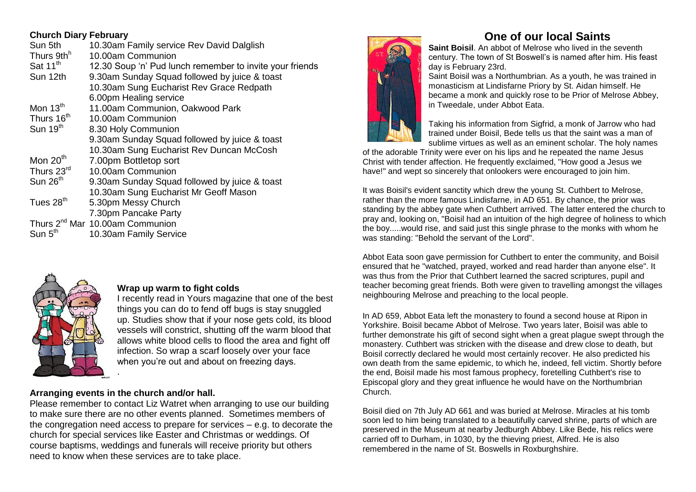# **Church Diary February**

| Sun 5th                | 10.30am Family service Rev David Dalglish                |
|------------------------|----------------------------------------------------------|
| Thurs 9th <sup>h</sup> | 10.00am Communion                                        |
| Sat 11 <sup>th</sup>   | 12.30 Soup 'n' Pud lunch remember to invite your friends |
| Sun 12th               | 9.30am Sunday Squad followed by juice & toast            |
|                        | 10.30am Sung Eucharist Rev Grace Redpath                 |
|                        | 6.00pm Healing service                                   |
| Mon $13th$             | 11.00am Communion, Oakwood Park                          |
| Thurs 16 <sup>th</sup> | 10.00am Communion                                        |
| Sun $19th$             | 8.30 Holy Communion                                      |
|                        | 9.30am Sunday Squad followed by juice & toast            |
|                        | 10.30am Sung Eucharist Rev Duncan McCosh                 |
| Mon $20th$             | 7.00pm Bottletop sort                                    |
| Thurs 23rd             | 10.00am Communion                                        |
| Sun $26th$             | 9.30am Sunday Squad followed by juice & toast            |
|                        | 10.30am Sung Eucharist Mr Geoff Mason                    |
| Tues 28 <sup>th</sup>  | 5.30pm Messy Church                                      |
|                        | 7.30pm Pancake Party                                     |
|                        | Thurs 2 <sup>nd</sup> Mar 10.00am Communion              |
| Sun $5th$              | 10.30am Family Service                                   |
|                        |                                                          |



# **Wrap up warm to fight colds**

I recently read in Yours magazine that one of the best things you can do to fend off bugs is stay snuggled up. Studies show that if your nose gets cold, its blood vessels will constrict, shutting off the warm blood that allows white blood cells to flood the area and fight off infection. So wrap a scarf loosely over your face when you're out and about on freezing days. .

# **Arranging events in the church and/or hall.**

Please remember to contact Liz Watret when arranging to use our building to make sure there are no other events planned. Sometimes members of the congregation need access to prepare for services – e.g. to decorate the church for special services like Easter and Christmas or weddings. Of course baptisms, weddings and funerals will receive priority but others need to know when these services are to take place.



# **One of our local Saints**

**Saint Boisil**. An abbot of Melrose who lived in the seventh century. The town of St Boswell's is named after him. His feast day is February 23rd.

Saint Boisil was a Northumbrian. As a youth, he was trained in monasticism at Lindisfarne Priory b[y St. Aidan](http://www.britannia.com/bios/saints/aidan.html) himself. He became a monk and quickly rose to be Prior of Melrose Abbey, in Tweedale, under [Abbot Eata.](http://www.britannia.com/bios/saints/eata.html)



Taking his information from Sigfrid, a monk of Jarrow who had trained under Boisil, [Bede](http://www.britannia.com/bios/bede.html) tells us that the saint was a man of sublime virtues as well as an eminent scholar. The holy names

of the adorable Trinity were ever on his lips and he repeated the name Jesus Christ with tender affection. He frequently exclaimed, "How good a Jesus we have!" and wept so sincerely that onlookers were encouraged to join him.

It was Boisil's evident sanctity which drew the young [St. Cuthbert](http://www.britannia.com/bios/saints/cuthbert.html) to Melrose, rather than the more famous Lindisfarne, in AD 651. By chance, the prior was standing by the abbey gate when Cuthbert arrived. The latter entered the church to pray and, looking on, "Boisil had an intuition of the high degree of holiness to which the boy.....would rise, and said just this single phrase to the monks with whom he was standing: "Behold the servant of the Lord".

Abbot Eata soon gave permission for Cuthbert to enter the community, and Boisil ensured that he "watched, prayed, worked and read harder than anyone else". It was thus from the Prior that Cuthbert learned the sacred scriptures, pupil and teacher becoming great friends. Both were given to travelling amongst the villages neighbouring Melrose and preaching to the local people.

In AD 659, Abbot Eata left the monastery to found a second house at Ripon in Yorkshire. Boisil became Abbot of Melrose. Two years later, Boisil was able to further demonstrate his gift of second sight when a great plague swept through the monastery. Cuthbert was stricken with the disease and drew close to death, but Boisil correctly declared he would most certainly recover. He also predicted his own death from the same epidemic, to which he, indeed, fell victim. Shortly before the end, Boisil made his most famous prophecy, foretelling Cuthbert's rise to Episcopal glory and they great influence he would have on the Northumbrian Church.

Boisil died on 7th July AD 661 and was buried at Melrose. Miracles at his tomb soon led to him being translated to a beautifully carved shrine, parts of which are preserved in the Museum at nearby Jedburgh Abbey. Like Bede, his relics were carried off to Durham, in 1030, by the thieving priest, Alfred. He is also remembered in the name of St. Boswells in Roxburghshire.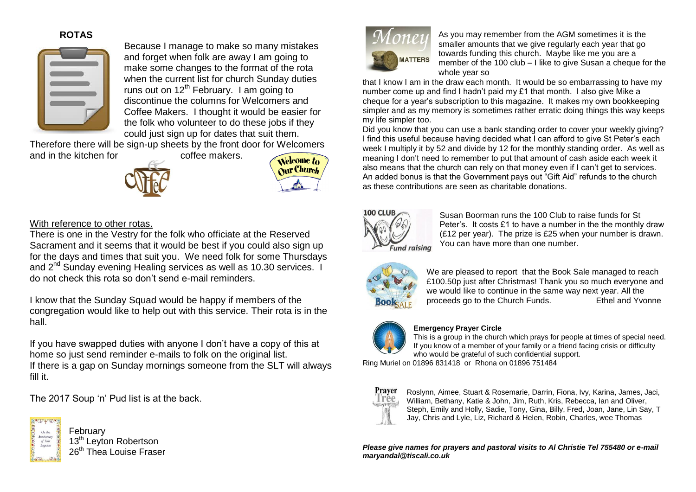# **ROTAS**



Because I manage to make so many mistakes and forget when folk are away I am going to make some changes to the format of the rota when the current list for church Sunday duties runs out on  $12<sup>th</sup>$  February. I am going to discontinue the columns for Welcomers and Coffee Makers. I thought it would be easier for the folk who volunteer to do these jobs if they could just sign up for dates that suit them.

Therefore there will be sign-up sheets by the front door for Welcomers and in the kitchen for **coffee makers**.





## With reference to other rotas.

There is one in the Vestry for the folk who officiate at the Reserved Sacrament and it seems that it would be best if you could also sign up for the days and times that suit you. We need folk for some Thursdays and 2<sup>nd</sup> Sunday evening Healing services as well as 10.30 services. I do not check this rota so don't send e-mail reminders.

I know that the Sunday Squad would be happy if members of the congregation would like to help out with this service. Their rota is in the hall.

If you have swapped duties with anyone I don't have a copy of this at home so just send reminder e-mails to folk on the original list. If there is a gap on Sunday mornings someone from the SLT will always fill it.

The 2017 Soup 'n' Pud list is at the back.



February 13<sup>th</sup> Leyton Robertson 26<sup>th</sup> Thea Louise Fraser



As you may remember from the AGM sometimes it is the smaller amounts that we give regularly each year that go towards funding this church. Maybe like me you are a member of the 100 club – I like to give Susan a cheque for the whole year so

that I know I am in the draw each month. It would be so embarrassing to have my number come up and find I hadn't paid my £1 that month. I also give Mike a cheque for a year's subscription to this magazine. It makes my own bookkeeping simpler and as my memory is sometimes rather erratic doing things this way keeps my life simpler too.

Did you know that you can use a bank standing order to cover your weekly giving? I find this useful because having decided what I can afford to give St Peter's each week I multiply it by 52 and divide by 12 for the monthly standing order. As well as meaning I don't need to remember to put that amount of cash aside each week it also means that the church can rely on that money even if I can't get to services. An added bonus is that the Government pays out "Gift Aid" refunds to the church as these contributions are seen as charitable donations.



Susan Boorman runs the 100 Club to raise funds for St Peter's. It costs £1 to have a number in the the monthly draw (£12 per year). The prize is £25 when your number is drawn. You can have more than one number.



We are pleased to report that the Book Sale managed to reach £100.50p just after Christmas! Thank you so much everyone and we would like to continue in the same way next year. All the proceeds go to the Church Funds. Ethel and Yvonne



### **Emergency Prayer Circle**

This is a group in the church which prays for people at times of special need. If you know of a member of your family or a friend facing crisis or difficulty who would be grateful of such confidential support.

Ring Muriel on 01896 831418 or Rhona on 01896 751484



Roslynn, Aimee, Stuart & Rosemarie, Darrin, Fiona, Ivy, Karina, James, Jaci, William, Bethany, Katie & John, Jim, Ruth, Kris, Rebecca, Ian and Oliver, Steph, Emily and Holly, Sadie, Tony, Gina, Billy, Fred, Joan, Jane, Lin Say, T Jay, Chris and Lyle, Liz, Richard & Helen, Robin, Charles, wee Thomas

*Please give names for prayers and pastoral visits to Al Christie Tel 755480 or e-mail maryandal@tiscali.co.uk*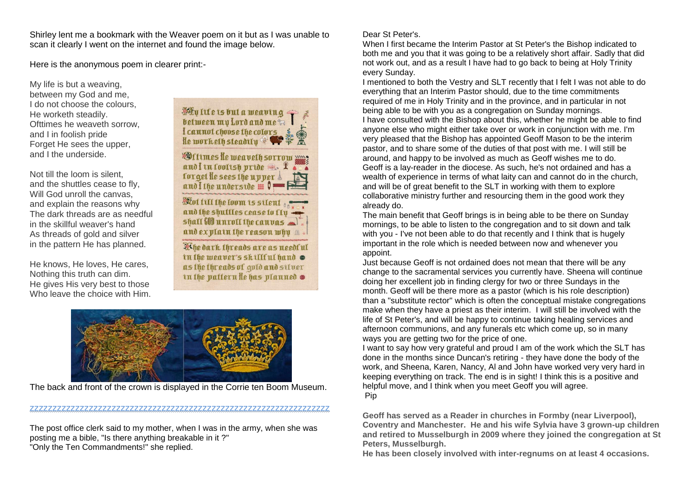Shirley lent me a bookmark with the Weaver poem on it but as I was unable to scan it clearly I went on the internet and found the image below.

Here is the anonymous poem in clearer print:-

My life is but a weaving, between my God and me, I do not choose the colours. He worketh steadily. Ofttimes he weaveth sorrow, and I in foolish pride Forget He sees the upper, and I the underside.

Not till the loom is silent, and the shuttles cease to fly, Will God unroll the canvas, and explain the reasons why The dark threads are as needful in the skillful weaver's hand As threads of gold and silver in the pattern He has planned.

He knows, He loves, He cares, Nothing this truth can dim. He gives His very best to those Who leave the choice with Him.



**Wittmes He weaveth sorrow xxxs** and I in foolish pride . \* forget le sees the upper and I the underside  $\mathbf{H}$ Wot till the loom is silent ... and the shuttles cease to fly shall  $\text{fill}$  unroll the canvas and explain the reason why a

Khe dark threads are as needful in the weaver's skillful hand as the threads of gold and silver in the pattern le has planned  $\bullet$ 



The back and front of the crown is displayed in the Corrie ten Boom Museum.

zzzzzzzzzzzzzzzzzzzzzzzzzzzzzzzzzzzzzzzzzzzzzzzzzzzzzzzzzzzzzzzzzz

The post office clerk said to my mother, when I was in the army, when she was posting me a bible, "Is there anything breakable in it ?" "Only the Ten Commandments!" she replied.

### Dear St Peter's.

When I first became the Interim Pastor at St Peter's the Bishop indicated to both me and you that it was going to be a relatively short affair. Sadly that did not work out, and as a result I have had to go back to being at Holy Trinity every Sunday.

I mentioned to both the Vestry and SLT recently that I felt I was not able to do everything that an Interim Pastor should, due to the time commitments required of me in Holy Trinity and in the province, and in particular in not being able to be with you as a congregation on Sunday mornings. I have consulted with the Bishop about this, whether he might be able to find anyone else who might either take over or work in conjunction with me. I'm very pleased that the Bishop has appointed Geoff Mason to be the interim pastor, and to share some of the duties of that post with me. I will still be around, and happy to be involved as much as Geoff wishes me to do. Geoff is a lay-reader in the diocese. As such, he's not ordained and has a wealth of experience in terms of what laity can and cannot do in the church, and will be of great benefit to the SLT in working with them to explore collaborative ministry further and resourcing them in the good work they already do.

The main benefit that Geoff brings is in being able to be there on Sunday mornings, to be able to listen to the congregation and to sit down and talk with you - I've not been able to do that recently and I think that is hugely important in the role which is needed between now and whenever you appoint.

Just because Geoff is not ordained does not mean that there will be any change to the sacramental services you currently have. Sheena will continue doing her excellent job in finding clergy for two or three Sundays in the month. Geoff will be there more as a pastor (which is his role description) than a "substitute rector" which is often the conceptual mistake congregations make when they have a priest as their interim. I will still be involved with the life of St Peter's, and will be happy to continue taking healing services and afternoon communions, and any funerals etc which come up, so in many ways you are getting two for the price of one.

I want to say how very grateful and proud I am of the work which the SLT has done in the months since Duncan's retiring - they have done the body of the work, and Sheena, Karen, Nancy, Al and John have worked very very hard in keeping everything on track. The end is in sight! I think this is a positive and helpful move, and I think when you meet Geoff you will agree. Pip

**Geoff has served as a Reader in churches in Formby (near Liverpool), Coventry and Manchester. He and his wife Sylvia have 3 grown-up children and retired to Musselburgh in 2009 where they joined the congregation at St Peters, Musselburgh.**

**He has been closely involved with inter-regnums on at least 4 occasions.**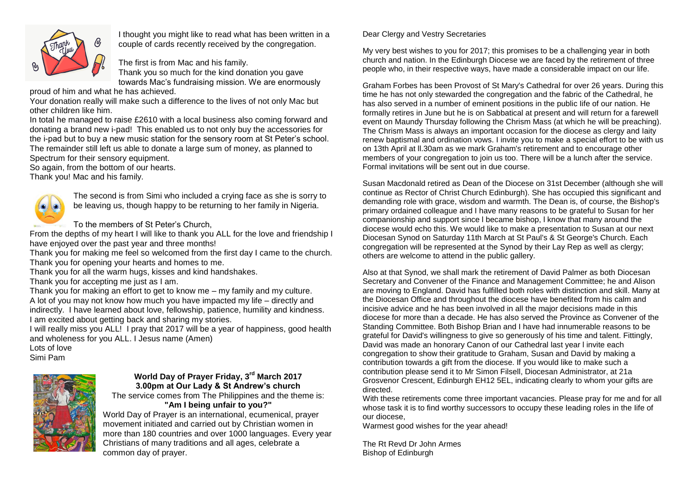

I thought you might like to read what has been written in a couple of cards recently received by the congregation.

The first is from Mac and his family. Thank you so much for the kind donation you gave towards Mac's fundraising mission. We are enormously

proud of him and what he has achieved.

Your donation really will make such a difference to the lives of not only Mac but other children like him.

In total he managed to raise £2610 with a local business also coming forward and donating a brand new i-pad! This enabled us to not only buy the accessories for the i-pad but to buy a new music station for the sensory room at St Peter's school. The remainder still left us able to donate a large sum of money, as planned to Spectrum for their sensory equipment.

So again, from the bottom of our hearts.

Thank you! Mac and his family.



The second is from Simi who included a crying face as she is sorry to be leaving us, though happy to be returning to her family in Nigeria.

To the members of St Peter's Church,

From the depths of my heart I will like to thank you ALL for the love and friendship I have enjoyed over the past year and three months!

Thank you for making me feel so welcomed from the first day I came to the church. Thank you for opening your hearts and homes to me.

Thank you for all the warm hugs, kisses and kind handshakes.

Thank you for accepting me just as I am.

Thank you for making an effort to get to know me – my family and my culture. A lot of you may not know how much you have impacted my life – directly and indirectly. I have learned about love, fellowship, patience, humility and kindness. I am excited about getting back and sharing my stories.

I will really miss you ALL! I pray that 2017 will be a year of happiness, good health and wholeness for you ALL. I Jesus name (Amen)

Lots of love Simi Pam



### **World Day of Prayer Friday, 3 rd March 2017 3.00pm at Our Lady & St Andrew's church** The service comes from The Philippines and the theme is:

**"Am I being unfair to you?"**

World Day of Prayer is an international, ecumenical, prayer movement initiated and carried out by Christian women in more than 180 countries and over 1000 languages. Every year Christians of many traditions and all ages, celebrate a common day of prayer.

### Dear Clergy and Vestry Secretaries

My very best wishes to you for 2017; this promises to be a challenging year in both church and nation. In the Edinburgh Diocese we are faced by the retirement of three people who, in their respective ways, have made a considerable impact on our life.

Graham Forbes has been Provost of St Mary's Cathedral for over 26 years. During this time he has not only stewarded the congregation and the fabric of the Cathedral, he has also served in a number of eminent positions in the public Iife of our nation. He formally retires in June but he is on Sabbatical at present and will return for a farewell event on Maundy Thursday following the Chrism Mass (at which he will be preaching). The Chrism Mass is always an important occasion for the diocese as clergy and Iaity renew baptismal and ordination vows. I invite you to make a special effort to be with us on 13th April at ll.30am as we mark Graham's retirement and to encourage other members of your congregation to join us too. There will be a lunch after the service. Formal invitations will be sent out in due course.

Susan Macdonald retired as Dean of the Diocese on 31st December (although she will continue as Rector of Christ Church Edinburgh). She has occupied this significant and demanding role with grace, wisdom and warmth. The Dean is, of course, the Bishop's primary ordained colleague and I have many reasons to be grateful to Susan for her companionship and support since l became bishop, l know that many around the diocese would echo this. We would like to make a presentation to Susan at our next Diocesan Synod on Saturday 11th March at St Paul's & St George's Church. Each congregation will be represented at the Synod by their Lay Rep as well as clergy; others are welcome to attend in the public gallery.

Also at that Synod, we shall mark the retirement of David Palmer as both Diocesan Secretary and Convener of the Finance and Management Committee; he and Alison are moving to England. David has fulfilled both roles with distinction and skill. Many at the Diocesan Office and throughout the diocese have benefited from his calm and incisive advice and he has been involved in all the major decisions made in this diocese for more than a decade. He has also served the Province as Convener of the Standing Committee. Both Bishop Brian and I have had innumerable reasons to be grateful for David's willingness to give so generously of his time and talent. Fittingly, David was made an honorary Canon of our Cathedral last year l invite each congregation to show their gratitude to Graham, Susan and David by making a contribution towards a gift from the diocese. If you would like to make such a contribution please send it to Mr Simon Filsell, Diocesan Administrator, at 21a Grosvenor Crescent, Edinburgh EH12 5EL, indicating clearly to whom your gifts are directed.

With these retirements come three important vacancies. Please pray for me and for all whose task it is to find worthy successors to occupy these Ieading roles in the Iife of our diocese,

Warmest good wishes for the year ahead!

The Rt Revd Dr John Armes Bishop of Edinburgh